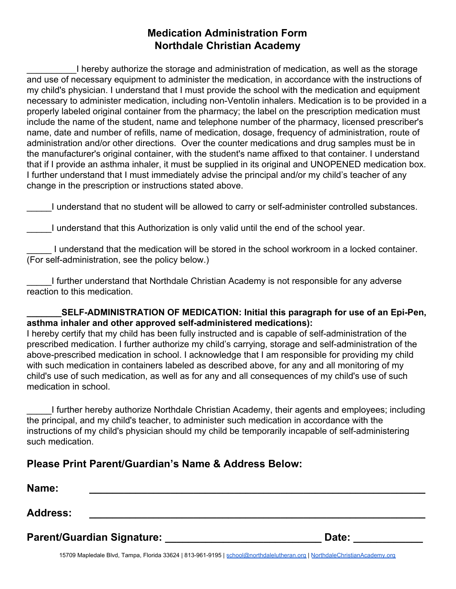## **Medication Administration Form Northdale Christian Academy**

\_\_\_\_\_\_\_\_\_\_I hereby authorize the storage and administration of medication, as well as the storage and use of necessary equipment to administer the medication, in accordance with the instructions of my child's physician. I understand that I must provide the school with the medication and equipment necessary to administer medication, including non-Ventolin inhalers. Medication is to be provided in a properly labeled original container from the pharmacy; the label on the prescription medication must include the name of the student, name and telephone number of the pharmacy, licensed prescriber's name, date and number of refills, name of medication, dosage, frequency of administration, route of administration and/or other directions. Over the counter medications and drug samples must be in the manufacturer's original container, with the student's name affixed to that container. I understand that if I provide an asthma inhaler, it must be supplied in its original and UNOPENED medication box. I further understand that I must immediately advise the principal and/or my child's teacher of any change in the prescription or instructions stated above.

\_\_\_\_\_I understand that no student will be allowed to carry or self-administer controlled substances.

I understand that this Authorization is only valid until the end of the school year.

\_\_\_\_\_ I understand that the medication will be stored in the school workroom in a locked container. (For self-administration, see the policy below.)

\_\_\_\_\_I further understand that Northdale Christian Academy is not responsible for any adverse reaction to this medication.

SELF-ADMINISTRATION OF MEDICATION: Initial this paragraph for use of an Epi-Pen, **asthma inhaler and other approved self-administered medications):**

I hereby certify that my child has been fully instructed and is capable of self-administration of the prescribed medication. I further authorize my child's carrying, storage and self-administration of the above-prescribed medication in school. I acknowledge that I am responsible for providing my child with such medication in containers labeled as described above, for any and all monitoring of my child's use of such medication, as well as for any and all consequences of my child's use of such medication in school.

\_\_\_\_\_I further hereby authorize Northdale Christian Academy, their agents and employees; including the principal, and my child's teacher, to administer such medication in accordance with the instructions of my child's physician should my child be temporarily incapable of self-administering such medication.

## **Please Print Parent/Guardian's Name & Address Below:**

| Name:                      |       |
|----------------------------|-------|
| <b>Address:</b>            |       |
| Parent/Guardian Signature: | Date: |

15709 Mapledale Blvd, Tampa, Florida 33624 | 813-961-9195 | [school@northdalelutheran.org](mailto:school@northdalelutheran.org) | [NorthdaleChristianAcademy.org](http://www.northdalechristianacademy.org/)